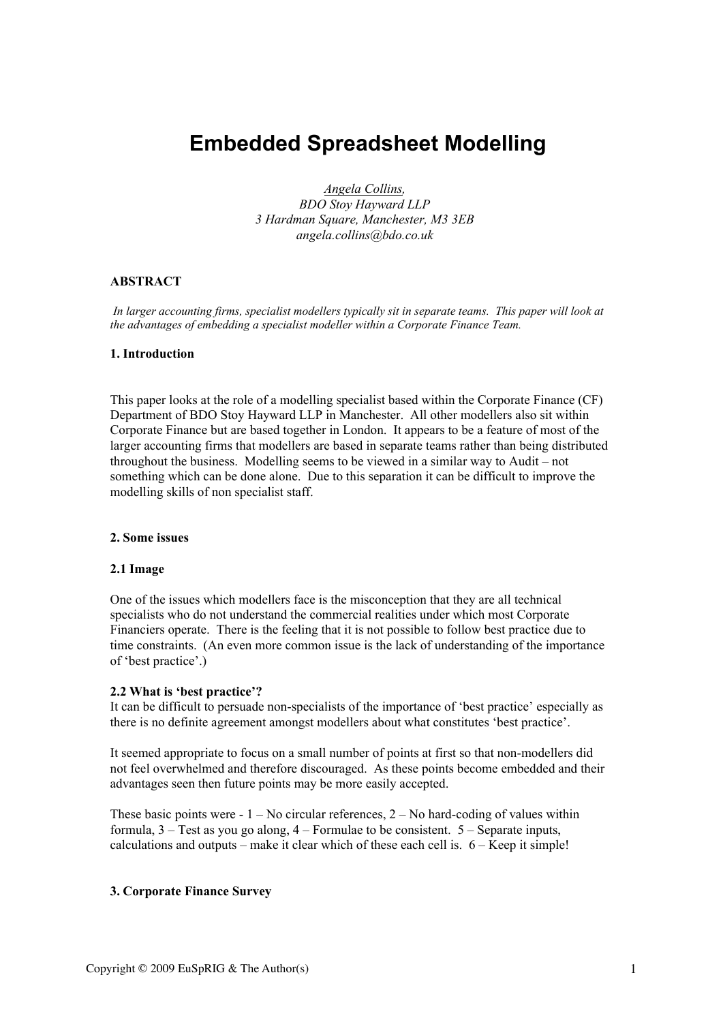# **Embedded Spreadsheet Modelling**

*Angela Collins, BDO Stoy Hayward LLP 3 Hardman Square, Manchester, M3 3EB angela.collins@bdo.co.uk*

#### ABSTRACT

 *In larger accounting firms, specialist modellers typically sit in separate teams. This paper will look at the advantages of embedding a specialist modeller within a Corporate Finance Team.*

#### 1. Introduction

This paper looks at the role of a modelling specialist based within the Corporate Finance (CF) Department of BDO Stoy Hayward LLP in Manchester. All other modellers also sit within Corporate Finance but are based together in London. It appears to be a feature of most of the larger accounting firms that modellers are based in separate teams rather than being distributed throughout the business. Modelling seems to be viewed in a similar way to Audit – not something which can be done alone. Due to this separation it can be difficult to improve the modelling skills of non specialist staff.

#### 2. Some issues

#### 2.1 Image

One of the issues which modellers face is the misconception that they are all technical specialists who do not understand the commercial realities under which most Corporate Financiers operate. There is the feeling that it is not possible to follow best practice due to time constraints. (An even more common issue is the lack of understanding of the importance of 'best practice'.)

#### 2.2 What is 'best practice'?

It can be difficult to persuade non-specialists of the importance of 'best practice' especially as there is no definite agreement amongst modellers about what constitutes 'best practice'.

It seemed appropriate to focus on a small number of points at first so that non-modellers did not feel overwhelmed and therefore discouraged. As these points become embedded and their advantages seen then future points may be more easily accepted.

These basic points were  $-1 - No$  circular references,  $2 - No$  hard-coding of values within formula,  $3 - Test$  as you go along,  $4 - Formula$  to be consistent.  $5 - Separate$  inputs, calculations and outputs – make it clear which of these each cell is.  $6 -$  Keep it simple!

#### 3. Corporate Finance Survey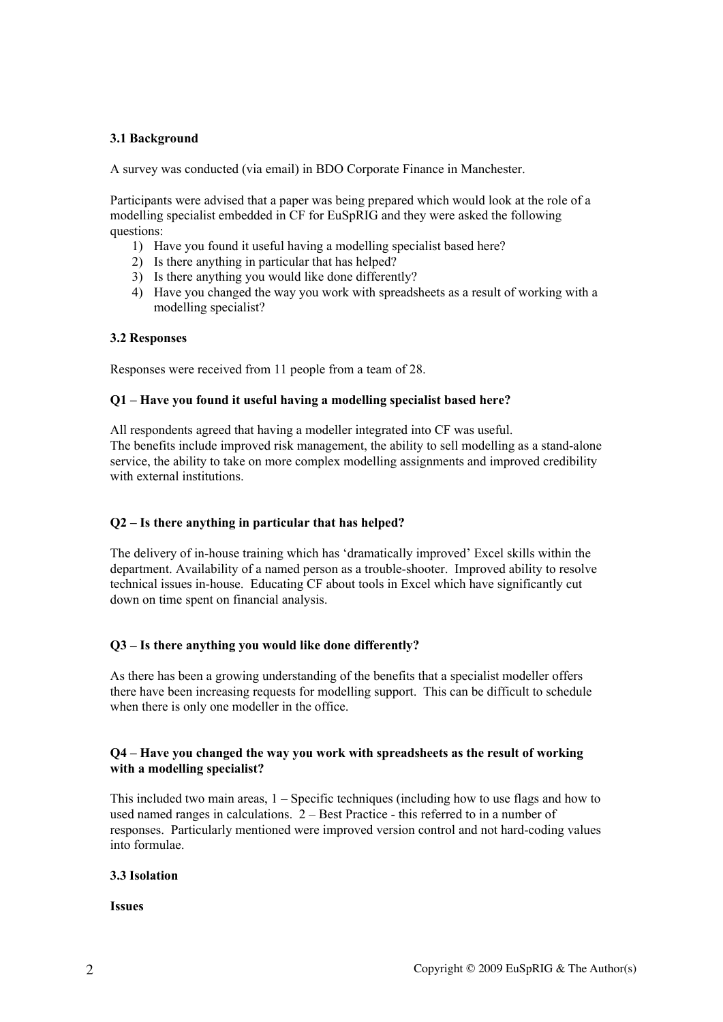## 3.1 Background

A survey was conducted (via email) in BDO Corporate Finance in Manchester.

Participants were advised that a paper was being prepared which would look at the role of a modelling specialist embedded in CF for EuSpRIG and they were asked the following questions:

- 1) Have you found it useful having a modelling specialist based here?
- 2) Is there anything in particular that has helped?
- 3) Is there anything you would like done differently?
- 4) Have you changed the way you work with spreadsheets as a result of working with a modelling specialist?

## 3.2 Responses

Responses were received from 11 people from a team of 28.

# Q1 – Have you found it useful having a modelling specialist based here?

All respondents agreed that having a modeller integrated into CF was useful. The benefits include improved risk management, the ability to sell modelling as a stand-alone service, the ability to take on more complex modelling assignments and improved credibility with external institutions.

# Q2 – Is there anything in particular that has helped?

The delivery of in-house training which has 'dramatically improved' Excel skills within the department. Availability of a named person as a trouble-shooter. Improved ability to resolve technical issues in-house. Educating CF about tools in Excel which have significantly cut down on time spent on financial analysis.

# Q3 – Is there anything you would like done differently?

As there has been a growing understanding of the benefits that a specialist modeller offers there have been increasing requests for modelling support. This can be difficult to schedule when there is only one modeller in the office.

## Q4 – Have you changed the way you work with spreadsheets as the result of working with a modelling specialist?

This included two main areas, 1 – Specific techniques (including how to use flags and how to used named ranges in calculations. 2 – Best Practice - this referred to in a number of responses. Particularly mentioned were improved version control and not hard-coding values into formulae.

## 3.3 Isolation

Issues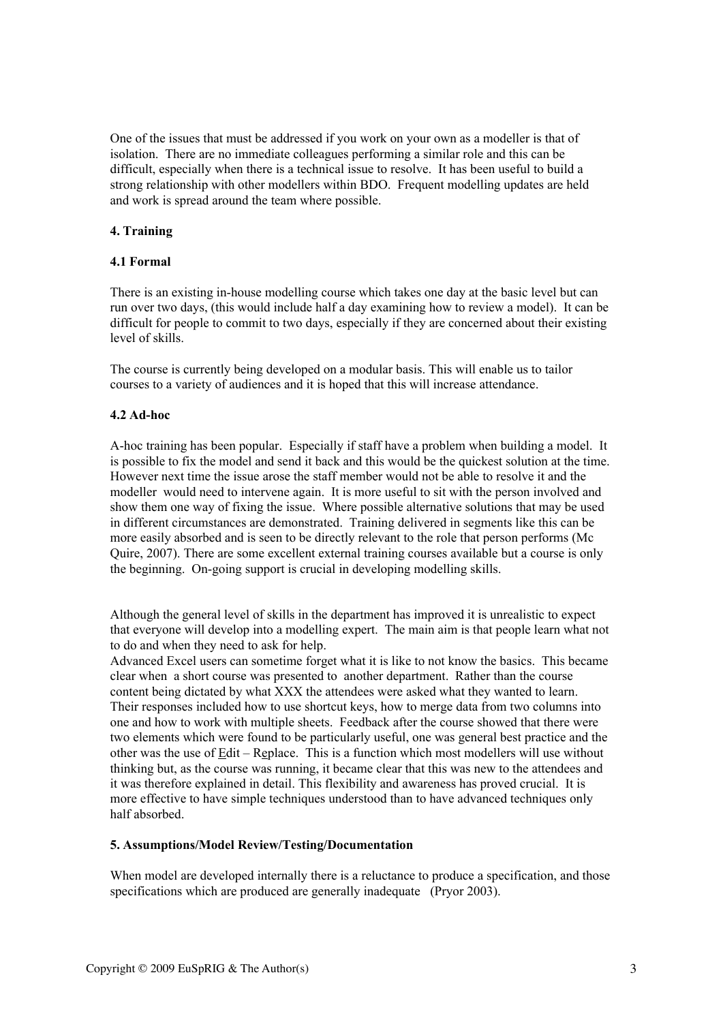One of the issues that must be addressed if you work on your own as a modeller is that of isolation. There are no immediate colleagues performing a similar role and this can be difficult, especially when there is a technical issue to resolve. It has been useful to build a strong relationship with other modellers within BDO. Frequent modelling updates are held and work is spread around the team where possible.

## 4. Training

## 4.1 Formal

There is an existing in-house modelling course which takes one day at the basic level but can run over two days, (this would include half a day examining how to review a model). It can be difficult for people to commit to two days, especially if they are concerned about their existing level of skills.

The course is currently being developed on a modular basis. This will enable us to tailor courses to a variety of audiences and it is hoped that this will increase attendance.

## 4.2 Ad-hoc

A-hoc training has been popular. Especially if staff have a problem when building a model. It is possible to fix the model and send it back and this would be the quickest solution at the time. However next time the issue arose the staff member would not be able to resolve it and the modeller would need to intervene again. It is more useful to sit with the person involved and show them one way of fixing the issue. Where possible alternative solutions that may be used in different circumstances are demonstrated. Training delivered in segments like this can be more easily absorbed and is seen to be directly relevant to the role that person performs (Mc Quire, 2007). There are some excellent external training courses available but a course is only the beginning. On-going support is crucial in developing modelling skills.

Although the general level of skills in the department has improved it is unrealistic to expect that everyone will develop into a modelling expert. The main aim is that people learn what not to do and when they need to ask for help.

Advanced Excel users can sometime forget what it is like to not know the basics. This became clear when a short course was presented to another department. Rather than the course content being dictated by what XXX the attendees were asked what they wanted to learn. Their responses included how to use shortcut keys, how to merge data from two columns into one and how to work with multiple sheets. Feedback after the course showed that there were two elements which were found to be particularly useful, one was general best practice and the other was the use of Edit – Replace. This is a function which most modellers will use without thinking but, as the course was running, it became clear that this was new to the attendees and it was therefore explained in detail. This flexibility and awareness has proved crucial. It is more effective to have simple techniques understood than to have advanced techniques only half absorbed.

## 5. Assumptions/Model Review/Testing/Documentation

When model are developed internally there is a reluctance to produce a specification, and those specifications which are produced are generally inadequate (Pryor 2003).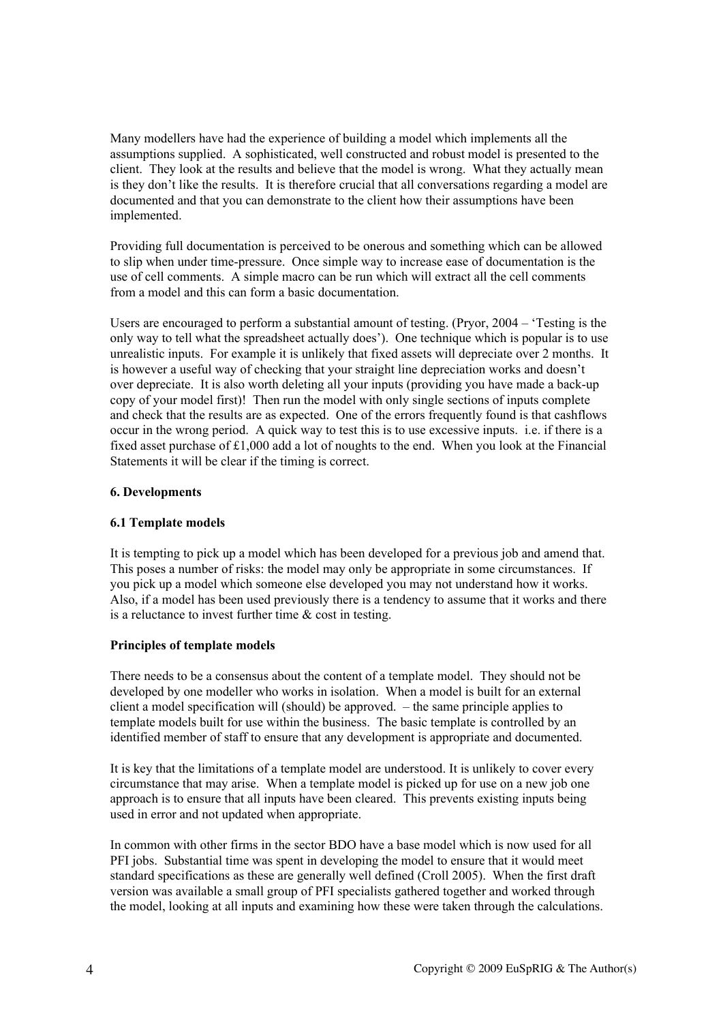Many modellers have had the experience of building a model which implements all the assumptions supplied. A sophisticated, well constructed and robust model is presented to the client. They look at the results and believe that the model is wrong. What they actually mean is they don't like the results. It is therefore crucial that all conversations regarding a model are documented and that you can demonstrate to the client how their assumptions have been implemented.

Providing full documentation is perceived to be onerous and something which can be allowed to slip when under time-pressure. Once simple way to increase ease of documentation is the use of cell comments. A simple macro can be run which will extract all the cell comments from a model and this can form a basic documentation.

Users are encouraged to perform a substantial amount of testing. (Pryor, 2004 – 'Testing is the only way to tell what the spreadsheet actually does'). One technique which is popular is to use unrealistic inputs. For example it is unlikely that fixed assets will depreciate over 2 months. It is however a useful way of checking that your straight line depreciation works and doesn't over depreciate. It is also worth deleting all your inputs (providing you have made a back-up copy of your model first)! Then run the model with only single sections of inputs complete and check that the results are as expected. One of the errors frequently found is that cashflows occur in the wrong period. A quick way to test this is to use excessive inputs. i.e. if there is a fixed asset purchase of  $\text{\pounds}1,000$  add a lot of noughts to the end. When you look at the Financial Statements it will be clear if the timing is correct.

# 6. Developments

## 6.1 Template models

It is tempting to pick up a model which has been developed for a previous job and amend that. This poses a number of risks: the model may only be appropriate in some circumstances. If you pick up a model which someone else developed you may not understand how it works. Also, if a model has been used previously there is a tendency to assume that it works and there is a reluctance to invest further time & cost in testing.

## Principles of template models

There needs to be a consensus about the content of a template model. They should not be developed by one modeller who works in isolation. When a model is built for an external client a model specification will (should) be approved. – the same principle applies to template models built for use within the business. The basic template is controlled by an identified member of staff to ensure that any development is appropriate and documented.

It is key that the limitations of a template model are understood. It is unlikely to cover every circumstance that may arise. When a template model is picked up for use on a new job one approach is to ensure that all inputs have been cleared. This prevents existing inputs being used in error and not updated when appropriate.

In common with other firms in the sector BDO have a base model which is now used for all PFI jobs. Substantial time was spent in developing the model to ensure that it would meet standard specifications as these are generally well defined (Croll 2005). When the first draft version was available a small group of PFI specialists gathered together and worked through the model, looking at all inputs and examining how these were taken through the calculations.